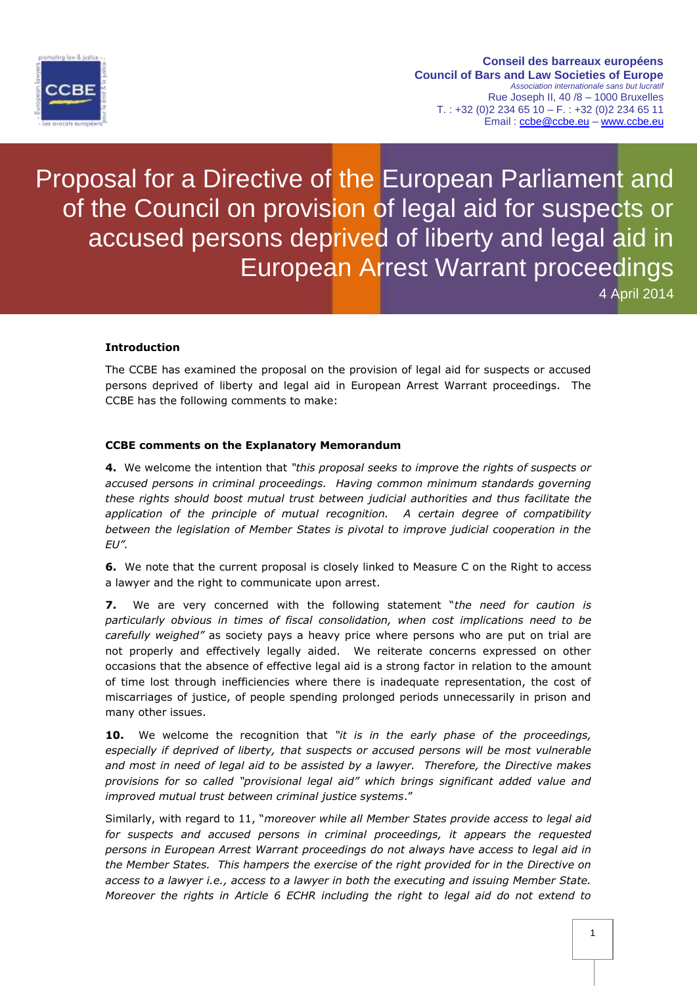

Proposal for a Directive of the European Parliament and of the Council on provision of legal aid for suspects or accused persons deprived of liberty and legal aid in European Arrest Warrant proceedings 4 April 2014

**Introduction**

The CCBE has examined the proposal on the provision of legal aid for suspects or accused persons deprived of liberty and legal aid in European Arrest Warrant proceedings. The CCBE has the following comments to make:

## **CCBE comments on the Explanatory Memorandum**

**4.** We welcome the intention that *"this proposal seeks to improve the rights of suspects or accused persons in criminal proceedings. Having common minimum standards governing these rights should boost mutual trust between judicial authorities and thus facilitate the application of the principle of mutual recognition. A certain degree of compatibility between the legislation of Member States is pivotal to improve judicial cooperation in the EU".* 

**6.** We note that the current proposal is closely linked to Measure C on the Right to access a lawyer and the right to communicate upon arrest.

**7.** We are very concerned with the following statement "*the need for caution is particularly obvious in times of fiscal consolidation, when cost implications need to be carefully weighed"* as society pays a heavy price where persons who are put on trial are not properly and effectively legally aided. We reiterate concerns expressed on other occasions that the absence of effective legal aid is a strong factor in relation to the amount of time lost through inefficiencies where there is inadequate representation, the cost of miscarriages of justice, of people spending prolonged periods unnecessarily in prison and many other issues.

**10.** We welcome the recognition that *"it is in the early phase of the proceedings, especially if deprived of liberty, that suspects or accused persons will be most vulnerable and most in need of legal aid to be assisted by a lawyer. Therefore, the Directive makes provisions for so called "provisional legal aid" which brings significant added value and improved mutual trust between criminal justice systems*."

Similarly, with regard to 11, "*moreover while all Member States provide access to legal aid*  for suspects and accused persons in criminal proceedings, it appears the requested *persons in European Arrest Warrant proceedings do not always have access to legal aid in the Member States. This hampers the exercise of the right provided for in the Directive on access to a lawyer i.e., access to a lawyer in both the executing and issuing Member State. Moreover the rights in Article 6 ECHR including the right to legal aid do not extend to*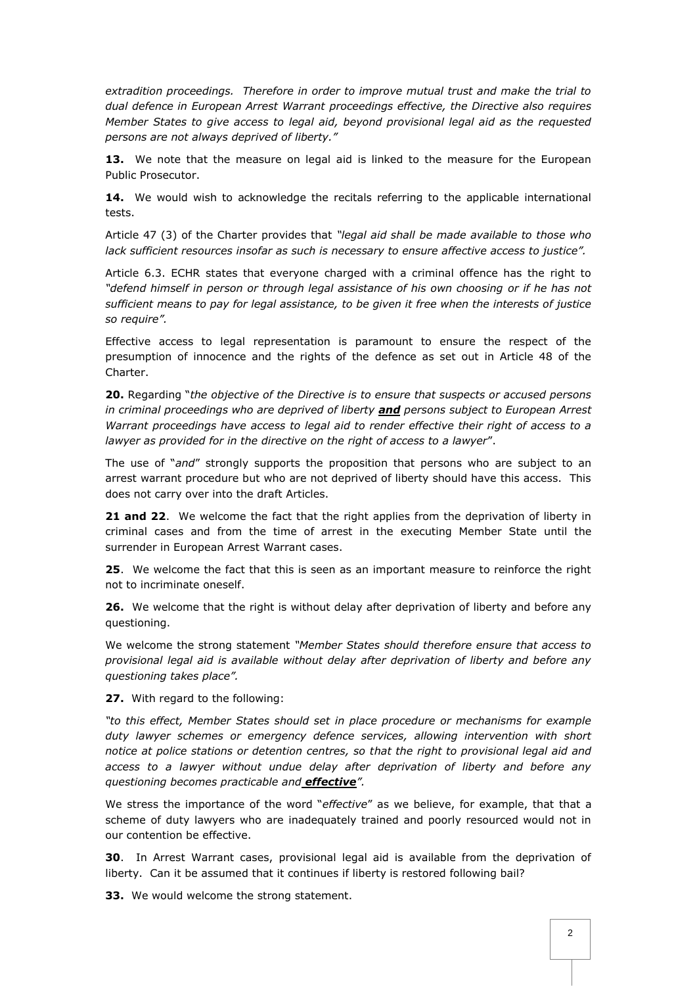*extradition proceedings. Therefore in order to improve mutual trust and make the trial to dual defence in European Arrest Warrant proceedings effective, the Directive also requires Member States to give access to legal aid, beyond provisional legal aid as the requested persons are not always deprived of liberty."*

**13.** We note that the measure on legal aid is linked to the measure for the European Public Prosecutor.

**14.** We would wish to acknowledge the recitals referring to the applicable international tests.

Article 47 (3) of the Charter provides that *"legal aid shall be made available to those who lack sufficient resources insofar as such is necessary to ensure affective access to justice".* 

Article 6.3. ECHR states that everyone charged with a criminal offence has the right to *"defend himself in person or through legal assistance of his own choosing or if he has not sufficient means to pay for legal assistance, to be given it free when the interests of justice so require".*

Effective access to legal representation is paramount to ensure the respect of the presumption of innocence and the rights of the defence as set out in Article 48 of the Charter.

**20.** Regarding "*the objective of the Directive is to ensure that suspects or accused persons in criminal proceedings who are deprived of liberty and persons subject to European Arrest Warrant proceedings have access to legal aid to render effective their right of access to a lawyer as provided for in the directive on the right of access to a lawyer*".

The use of "*and*" strongly supports the proposition that persons who are subject to an arrest warrant procedure but who are not deprived of liberty should have this access. This does not carry over into the draft Articles.

**21 and 22**. We welcome the fact that the right applies from the deprivation of liberty in criminal cases and from the time of arrest in the executing Member State until the surrender in European Arrest Warrant cases.

**25**. We welcome the fact that this is seen as an important measure to reinforce the right not to incriminate oneself.

**26.** We welcome that the right is without delay after deprivation of liberty and before any questioning.

We welcome the strong statement *"Member States should therefore ensure that access to provisional legal aid is available without delay after deprivation of liberty and before any questioning takes place".*

**27.** With regard to the following:

*"to this effect, Member States should set in place procedure or mechanisms for example duty lawyer schemes or emergency defence services, allowing intervention with short notice at police stations or detention centres, so that the right to provisional legal aid and access to a lawyer without undue delay after deprivation of liberty and before any questioning becomes practicable and effective".*

We stress the importance of the word "*effective*" as we believe, for example, that that a scheme of duty lawyers who are inadequately trained and poorly resourced would not in our contention be effective.

**30**. In Arrest Warrant cases, provisional legal aid is available from the deprivation of liberty. Can it be assumed that it continues if liberty is restored following bail?

**33.** We would welcome the strong statement.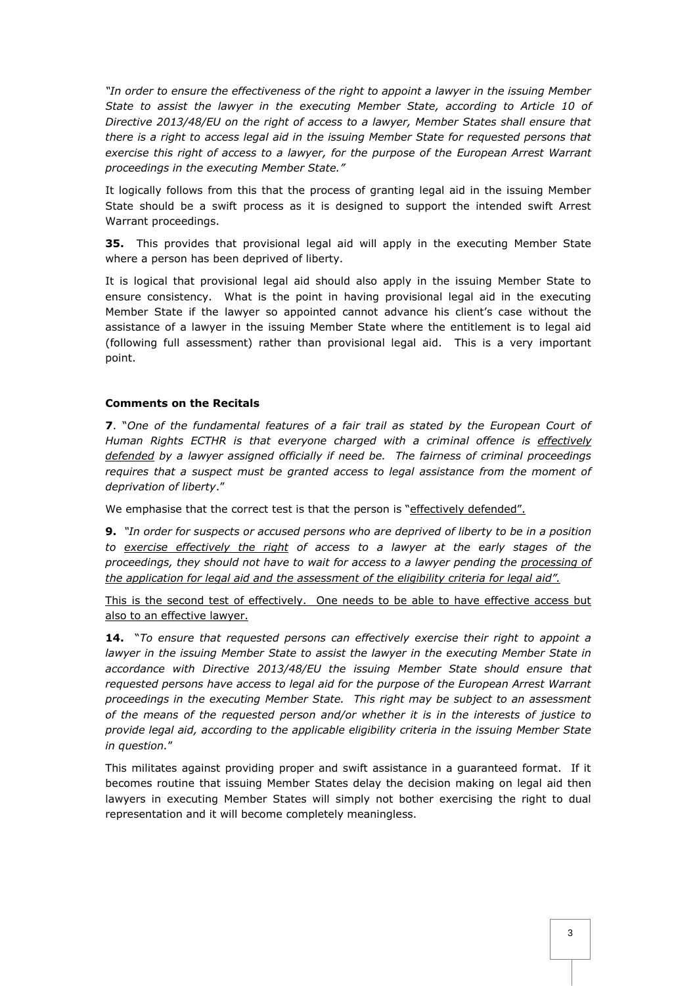*"In order to ensure the effectiveness of the right to appoint a lawyer in the issuing Member State to assist the lawyer in the executing Member State, according to Article 10 of Directive 2013/48/EU on the right of access to a lawyer, Member States shall ensure that there is a right to access legal aid in the issuing Member State for requested persons that exercise this right of access to a lawyer, for the purpose of the European Arrest Warrant proceedings in the executing Member State."* 

It logically follows from this that the process of granting legal aid in the issuing Member State should be a swift process as it is designed to support the intended swift Arrest Warrant proceedings.

**35.** This provides that provisional legal aid will apply in the executing Member State where a person has been deprived of liberty.

It is logical that provisional legal aid should also apply in the issuing Member State to ensure consistency. What is the point in having provisional legal aid in the executing Member State if the lawyer so appointed cannot advance his client's case without the assistance of a lawyer in the issuing Member State where the entitlement is to legal aid (following full assessment) rather than provisional legal aid. This is a very important point.

## **Comments on the Recitals**

**7**. "*One of the fundamental features of a fair trail as stated by the European Court of Human Rights ECTHR is that everyone charged with a criminal offence is effectively defended by a lawyer assigned officially if need be. The fairness of criminal proceedings requires that a suspect must be granted access to legal assistance from the moment of deprivation of liberty*."

We emphasise that the correct test is that the person is "effectively defended".

**9.** *"In order for suspects or accused persons who are deprived of liberty to be in a position to exercise effectively the right of access to a lawyer at the early stages of the proceedings, they should not have to wait for access to a lawyer pending the processing of the application for legal aid and the assessment of the eligibility criteria for legal aid".*

This is the second test of effectively. One needs to be able to have effective access but also to an effective lawyer.

**14.** "*To ensure that requested persons can effectively exercise their right to appoint a lawyer in the issuing Member State to assist the lawyer in the executing Member State in accordance with Directive 2013/48/EU the issuing Member State should ensure that requested persons have access to legal aid for the purpose of the European Arrest Warrant proceedings in the executing Member State. This right may be subject to an assessment of the means of the requested person and/or whether it is in the interests of justice to provide legal aid, according to the applicable eligibility criteria in the issuing Member State in question.*"

This militates against providing proper and swift assistance in a guaranteed format. If it becomes routine that issuing Member States delay the decision making on legal aid then lawyers in executing Member States will simply not bother exercising the right to dual representation and it will become completely meaningless.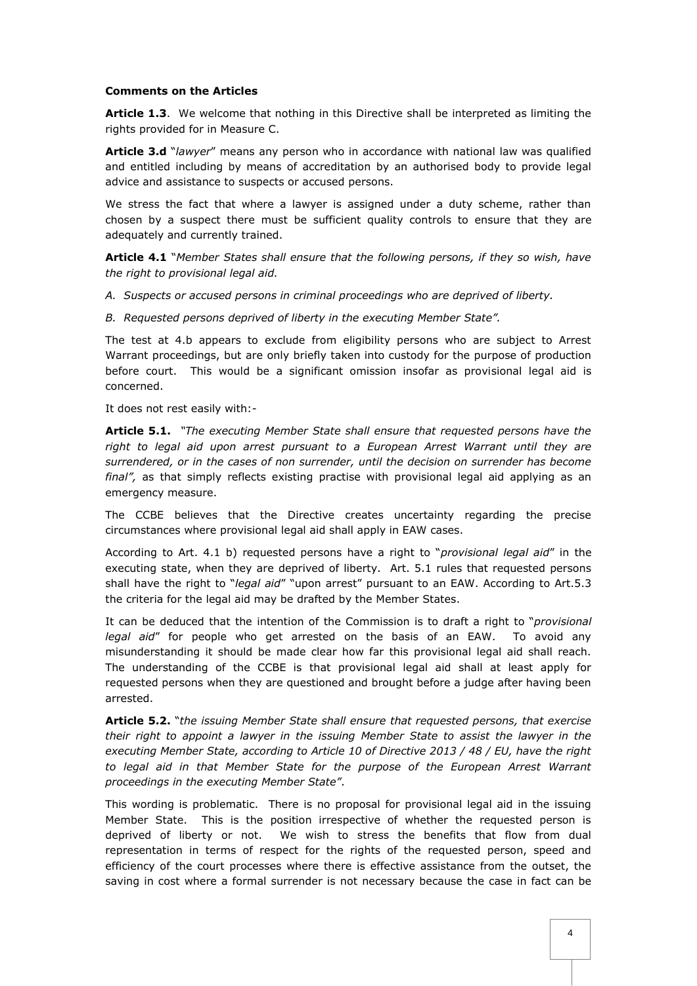## **Comments on the Articles**

**Article 1.3**. We welcome that nothing in this Directive shall be interpreted as limiting the rights provided for in Measure C.

**Article 3.d** "*lawyer*" means any person who in accordance with national law was qualified and entitled including by means of accreditation by an authorised body to provide legal advice and assistance to suspects or accused persons.

We stress the fact that where a lawyer is assigned under a duty scheme, rather than chosen by a suspect there must be sufficient quality controls to ensure that they are adequately and currently trained.

**Article 4.1** "*Member States shall ensure that the following persons, if they so wish, have the right to provisional legal aid.*

- *A. Suspects or accused persons in criminal proceedings who are deprived of liberty.*
- *B. Requested persons deprived of liberty in the executing Member State".*

The test at 4.b appears to exclude from eligibility persons who are subject to Arrest Warrant proceedings, but are only briefly taken into custody for the purpose of production before court. This would be a significant omission insofar as provisional legal aid is concerned.

It does not rest easily with:-

**Article 5.1.** *"The executing Member State shall ensure that requested persons have the right to legal aid upon arrest pursuant to a European Arrest Warrant until they are surrendered, or in the cases of non surrender, until the decision on surrender has become final",* as that simply reflects existing practise with provisional legal aid applying as an emergency measure.

The CCBE believes that the Directive creates uncertainty regarding the precise circumstances where provisional legal aid shall apply in EAW cases.

According to Art. 4.1 b) requested persons have a right to "*provisional legal aid*" in the executing state, when they are deprived of liberty. Art. 5.1 rules that requested persons shall have the right to "*legal aid*" "upon arrest" pursuant to an EAW. According to Art.5.3 the criteria for the legal aid may be drafted by the Member States.

It can be deduced that the intention of the Commission is to draft a right to "*provisional legal aid*" for people who get arrested on the basis of an EAW. To avoid any misunderstanding it should be made clear how far this provisional legal aid shall reach. The understanding of the CCBE is that provisional legal aid shall at least apply for requested persons when they are questioned and brought before a judge after having been arrested.

**Article 5.2.** "*the issuing Member State shall ensure that requested persons, that exercise their right to appoint a lawyer in the issuing Member State to assist the lawyer in the executing Member State, according to Article 10 of Directive 2013 / 48 / EU, have the right to legal aid in that Member State for the purpose of the European Arrest Warrant proceedings in the executing Member State"*.

This wording is problematic. There is no proposal for provisional legal aid in the issuing Member State. This is the position irrespective of whether the requested person is deprived of liberty or not. We wish to stress the benefits that flow from dual representation in terms of respect for the rights of the requested person, speed and efficiency of the court processes where there is effective assistance from the outset, the saving in cost where a formal surrender is not necessary because the case in fact can be